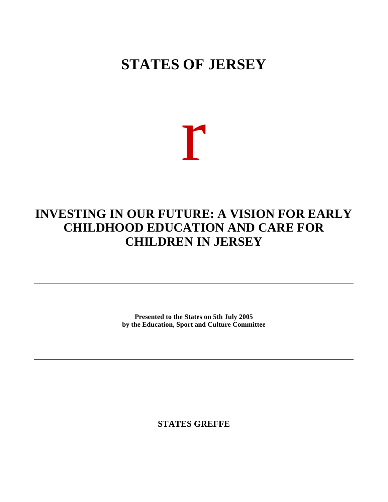# **STATES OF JERSEY**

r

# **INVESTING IN OUR FUTURE: A VISION FOR EARLY CHILDHOOD EDUCATION AND CARE FOR CHILDREN IN JERSEY**

**Presented to the States on 5th July 2005 by the Education, Sport and Culture Committee**

**STATES GREFFE**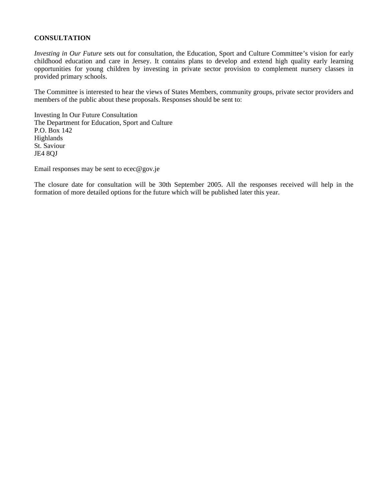# **CONSULTATION**

*Investing in Our Future* sets out for consultation, the Education, Sport and Culture Committee's vision for early childhood education and care in Jersey. It contains plans to develop and extend high quality early learning opportunities for young children by investing in private sector provision to complement nursery classes in provided primary schools.

The Committee is interested to hear the views of States Members, community groups, private sector providers and members of the public about these proposals. Responses should be sent to:

Investing In Our Future Consultation The Department for Education, Sport and Culture P.O. Box 142 Highlands St. Saviour JE4 8QJ

Email responses may be sent to [ecec@gov.je](mailto:ecec@gov.je)

The closure date for consultation will be 30th September 2005. All the responses received will help in the formation of more detailed options for the future which will be published later this year.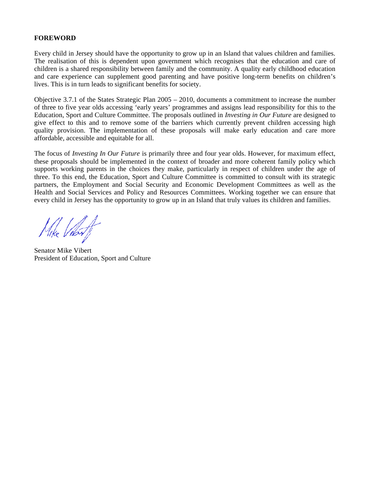# **FOREWORD**

Every child in Jersey should have the opportunity to grow up in an Island that values children and families. The realisation of this is dependent upon government which recognises that the education and care of children is a shared responsibility between family and the community. A quality early childhood education and care experience can supplement good parenting and have positive long-term benefits on children's lives. This is in turn leads to significant benefits for society.

Objective 3.7.1 of the States Strategic Plan 2005 – 2010, documents a commitment to increase the number of three to five year olds accessing 'early years' programmes and assigns lead responsibility for this to the Education, Sport and Culture Committee. The proposals outlined in *Investing in Our Future* are designed to give effect to this and to remove some of the barriers which currently prevent children accessing high quality provision. The implementation of these proposals will make early education and care more affordable, accessible and equitable for all.

The focus of *Investing In Our Future* is primarily three and four year olds. However, for maximum effect, these proposals should be implemented in the context of broader and more coherent family policy which supports working parents in the choices they make, particularly in respect of children under the age of three. To this end, the Education, Sport and Culture Committee is committed to consult with its strategic partners, the Employment and Social Security and Economic Development Committees as well as the Health and Social Services and Policy and Resources Committees. Working together we can ensure that every child in Jersey has the opportunity to grow up in an Island that truly values its children and families.

Mike Vilost

Senator Mike Vibert President of Education, Sport and Culture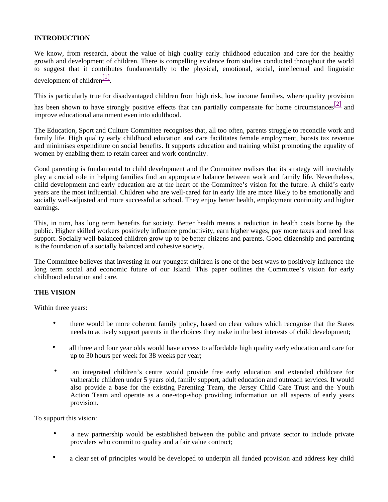# **INTRODUCTION**

We know, from research, about the value of high quality early childhood education and care for the healthy growth and development of children. There is compelling evidence from studies conducted throughout the world to suggest that it contributes fundamentally to the physical, emotional, social, intellectual and linguistic development of children $\frac{[1]}{[1]}$ 

This is particularly true for disadvantaged children from high risk, low income families, where quality provision

has been shown to have strongly positive effects that can partially compensate for home circumstances  $\boxed{2]}$  and improve educational attainment even into adulthood.

The Education, Sport and Culture Committee recognises that, all too often, parents struggle to reconcile work and family life. High quality early childhood education and care facilitates female employment, boosts tax revenue and minimises expenditure on social benefits. It supports education and training whilst promoting the equality of women by enabling them to retain career and work continuity.

Good parenting is fundamental to child development and the Committee realises that its strategy will inevitably play a crucial role in helping families find an appropriate balance between work and family life. Nevertheless, child development and early education are at the heart of the Committee's vision for the future. A child's early years are the most influential. Children who are well-cared for in early life are more likely to be emotionally and socially well-adjusted and more successful at school. They enjoy better health, employment continuity and higher earnings.

This, in turn, has long term benefits for society. Better health means a reduction in health costs borne by the public. Higher skilled workers positively influence productivity, earn higher wages, pay more taxes and need less support. Socially well-balanced children grow up to be better citizens and parents. Good citizenship and parenting is the foundation of a socially balanced and cohesive society.

The Committee believes that investing in our youngest children is one of the best ways to positively influence the long term social and economic future of our Island. This paper outlines the Committee's vision for early childhood education and care.

# **THE VISION**

Within three years:

- there would be more coherent family policy, based on clear values which recognise that the States needs to actively support parents in the choices they make in the best interests of child development;
- all three and four year olds would have access to affordable high quality early education and care for up to 30 hours per week for 38 weeks per year;
- an integrated children's centre would provide free early education and extended childcare for vulnerable children under 5 years old, family support, adult education and outreach services. It would also provide a base for the existing Parenting Team, the Jersey Child Care Trust and the Youth Action Team and operate as a one-stop-shop providing information on all aspects of early years provision.

To support this vision:

- a new partnership would be established between the public and private sector to include private providers who commit to quality and a fair value contract;
- a clear set of principles would be developed to underpin all funded provision and address key child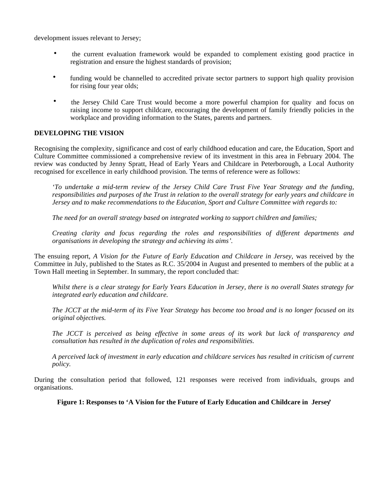development issues relevant to Jersey;

- the current evaluation framework would be expanded to complement existing good practice in registration and ensure the highest standards of provision;
- funding would be channelled to accredited private sector partners to support high quality provision for rising four year olds;
- the Jersey Child Care Trust would become a more powerful champion for quality and focus on raising income to support childcare, encouraging the development of family friendly policies in the workplace and providing information to the States, parents and partners.

# **DEVELOPING THE VISION**

Recognising the complexity, significance and cost of early childhood education and care, the Education, Sport and Culture Committee commissioned a comprehensive review of its investment in this area in February 2004. The review was conducted by Jenny Spratt, Head of Early Years and Childcare in Peterborough, a Local Authority recognised for excellence in early childhood provision. The terms of reference were as follows:

*'To undertake a mid-term review of the Jersey Child Care Trust Five Year Strategy and the funding, responsibilities and purposes of the Trust in relation to the overall strategy for early years and childcare in Jersey and to make recommendations to the Education, Sport and Culture Committee with regards to:*

*The need for an overall strategy based on integrated working to support children and families;*

*Creating clarity and focus regarding the roles and responsibilities of different departments and organisations in developing the strategy and achieving its aims'.*

The ensuing report, *A Vision for the Future of Early Education and Childcare in Jersey,* was received by the Committee in July, published to the States as R.C. 35/2004 in August and presented to members of the public at a Town Hall meeting in September. In summary, the report concluded that:

*Whilst there is a clear strategy for Early Years Education in Jersey, there is no overall States strategy for integrated early education and childcare.*

*The JCCT at the mid-term of its Five Year Strategy has become too broad and is no longer focused on its original objectives.*

*The JCCT is perceived as being effective in some areas of its work but lack of transparency and consultation has resulted in the duplication of roles and responsibilities.*

*A perceived lack of investment in early education and childcare services has resulted in criticism of current policy.*

During the consultation period that followed, 121 responses were received from individuals, groups and organisations.

**Figure 1: Responses to 'A Vision for the Future of Early Education and Childcare in Jersey'**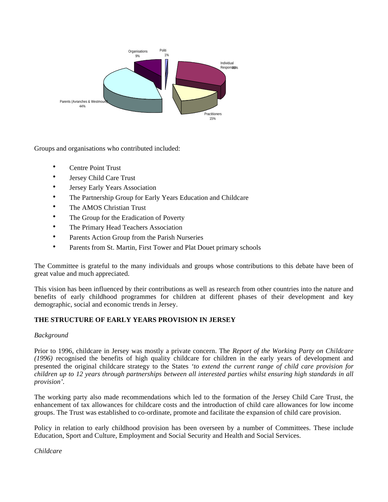

Groups and organisations who contributed included:

- Centre Point Trust
- Jersey Child Care Trust
- Jersey Early Years Association
- The Partnership Group for Early Years Education and Childcare
- The AMOS Christian Trust
- The Group for the Eradication of Poverty
- The Primary Head Teachers Association
- Parents Action Group from the Parish Nurseries
- Parents from St. Martin, First Tower and Plat Douet primary schools

The Committee is grateful to the many individuals and groups whose contributions to this debate have been of great value and much appreciated.

This vision has been influenced by their contributions as well as research from other countries into the nature and benefits of early childhood programmes for children at different phases of their development and key demographic, social and economic trends in Jersey.

# **THE STRUCTURE OF EARLY YEARS PROVISION IN JERSEY**

# *Background*

Prior to 1996, childcare in Jersey was mostly a private concern. The *Report of the Working Party on Childcare (1996)* recognised the benefits of high quality childcare for children in the early years of development and presented the original childcare strategy to the States *'to extend the current range of child care provision for children up to 12 years through partnerships between all interested parties whilst ensuring high standards in all provision'.*

The working party also made recommendations which led to the formation of the Jersey Child Care Trust, the enhancement of tax allowances for childcare costs and the introduction of child care allowances for low income groups. The Trust was established to co-ordinate, promote and facilitate the expansion of child care provision.

Policy in relation to early childhood provision has been overseen by a number of Committees. These include Education, Sport and Culture, Employment and Social Security and Health and Social Services.

*Childcare*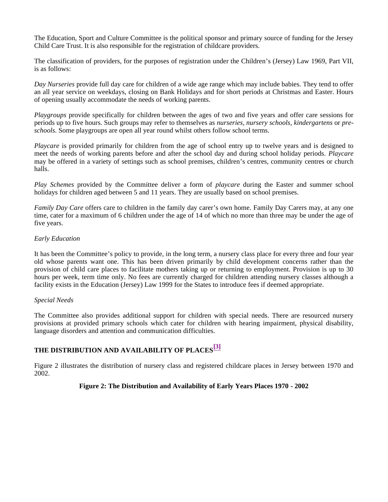The Education, Sport and Culture Committee is the political sponsor and primary source of funding for the Jersey Child Care Trust. It is also responsible for the registration of childcare providers.

The classification of providers, for the purposes of registration under the Children's (Jersey) Law 1969, Part VII, is as follows:

*Day Nurseries* provide full day care for children of a wide age range which may include babies. They tend to offer an all year service on weekdays, closing on Bank Holidays and for short periods at Christmas and Easter. Hours of opening usually accommodate the needs of working parents.

*Playgroups* provide specifically for children between the ages of two and five years and offer care sessions for periods up to five hours. Such groups may refer to themselves as *nurseries, nursery schools, kindergartens* or *preschools.* Some playgroups are open all year round whilst others follow school terms.

*Playcare* is provided primarily for children from the age of school entry up to twelve years and is designed to meet the needs of working parents before and after the school day and during school holiday periods. *Playcare* may be offered in a variety of settings such as school premises, children's centres, community centres or church halls.

*Play Schemes* provided by the Committee deliver a form of *playcare* during the Easter and summer school holidays for children aged between 5 and 11 years. They are usually based on school premises.

*Family Day Care* offers care to children in the family day carer's own home. Family Day Carers may, at any one time, cater for a maximum of 6 children under the age of 14 of which no more than three may be under the age of five years.

#### *Early Education*

It has been the Committee's policy to provide, in the long term, a nursery class place for every three and four year old whose parents want one. This has been driven primarily by child development concerns rather than the provision of child care places to facilitate mothers taking up or returning to employment. Provision is up to 30 hours per week, term time only. No fees are currently charged for children attending nursery classes although a facility exists in the Education (Jersey) Law 1999 for the States to introduce fees if deemed appropriate.

#### *Special Needs*

The Committee also provides additional support for children with special needs. There are resourced nursery provisions at provided primary schools which cater for children with hearing impairment, physical disability, language disorders and attention and communication difficulties.

# **THE DISTRIBUTION AND AVAILABILITY OF PLACES[3]**

Figure 2 illustrates the distribution of nursery class and registered childcare places in Jersey between 1970 and 2002.

# **Figure 2: The Distribution and Availability of Early Years Places 1970 - 2002**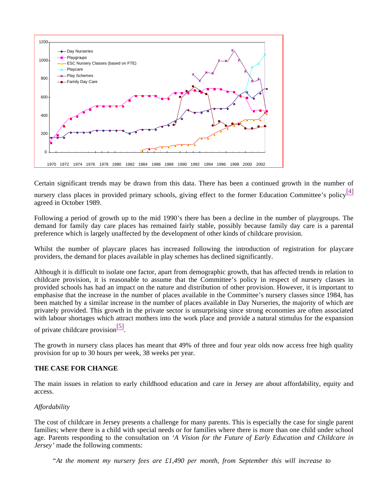

Certain significant trends may be drawn from this data. There has been a continued growth in the number of nursery class places in provided primary schools, giving effect to the former Education Committee's policy $\frac{[4]}{4}$ agreed in October 1989.

Following a period of growth up to the mid 1990's there has been a decline in the number of playgroups. The demand for family day care places has remained fairly stable, possibly because family day care is a parental preference which is largely unaffected by the development of other kinds of childcare provision.

Whilst the number of playcare places has increased following the introduction of registration for playcare providers, the demand for places available in play schemes has declined significantly.

Although it is difficult to isolate one factor, apart from demographic growth, that has affected trends in relation to childcare provision, it is reasonable to assume that the Committee's policy in respect of nursery classes in provided schools has had an impact on the nature and distribution of other provision. However, it is important to emphasise that the increase in the number of places available in the Committee's nursery classes since 1984, has been matched by a similar increase in the number of places available in Day Nurseries, the majority of which are privately provided. This growth in the private sector is unsurprising since strong economies are often associated with labour shortages which attract mothers into the work place and provide a natural stimulus for the expansion

of private childcare provision<sup>[5]</sup>.

The growth in nursery class places has meant that 49% of three and four year olds now access free high quality provision for up to 30 hours per week, 38 weeks per year.

# **THE CASE FOR CHANGE**

The main issues in relation to early childhood education and care in Jersey are about affordability, equity and access.

# *Affordability*

The cost of childcare in Jersey presents a challenge for many parents. This is especially the case for single parent families; where there is a child with special needs or for families where there is more than one child under school age. Parents responding to the consultation on *'A Vision for the Future of Early Education and Childcare in Jersey'* made the following comments:

*"At the moment my nursery fees are £1,490 per month, from September this will increase to*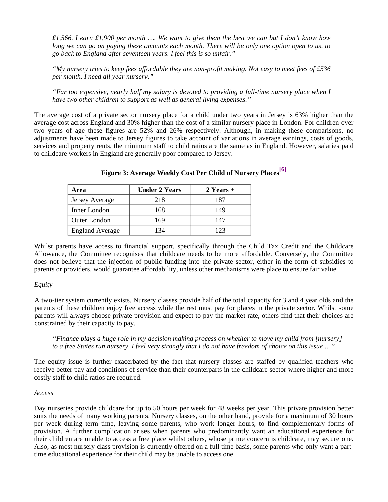*£1,566. I earn £1,900 per month …. We want to give them the best we can but I don't know how long we can go on paying these amounts each month. There will be only one option open to us, to go back to England after seventeen years. I feel this is so unfair."*

*"My nursery tries to keep fees affordable they are non-profit making. Not easy to meet fees of £536 per month. I need all year nursery."*

*"Far too expensive, nearly half my salary is devoted to providing a full-time nursery place when I have two other children to support as well as general living expenses."*

The average cost of a private sector nursery place for a child under two years in Jersey is 63% higher than the average cost across England and 30% higher than the cost of a similar nursery place in London. For children over two years of age these figures are 52% and 26% respectively. Although, in making these comparisons, no adjustments have been made to Jersey figures to take account of variations in average earnings, costs of goods, services and property rents, the minimum staff to child ratios are the same as in England. However, salaries paid to childcare workers in England are generally poor compared to Jersey.

| Area                   | <b>Under 2 Years</b> | $2$ Years + |
|------------------------|----------------------|-------------|
| Jersey Average         | 218                  | 187         |
| Inner London           | 168                  | 149         |
| Outer London           | 169                  | 147         |
| <b>England Average</b> | 134                  | 123         |

# **Figure 3: Average Weekly Cost Per Child of Nursery Places[6]**

Whilst parents have access to financial support, specifically through the Child Tax Credit and the Childcare Allowance, the Committee recognises that childcare needs to be more affordable. Conversely, the Committee does not believe that the injection of public funding into the private sector, either in the form of subsidies to parents or providers, would guarantee affordability, unless other mechanisms were place to ensure fair value.

#### *Equity*

A two-tier system currently exists. Nursery classes provide half of the total capacity for 3 and 4 year olds and the parents of these children enjoy free access while the rest must pay for places in the private sector. Whilst some parents will always choose private provision and expect to pay the market rate, others find that their choices are constrained by their capacity to pay.

*"Finance plays a huge role in my decision making process on whether to move my child from [nursery] to a free States run nursery. I feel very strongly that I do not have freedom of choice on this issue …"*

The equity issue is further exacerbated by the fact that nursery classes are staffed by qualified teachers who receive better pay and conditions of service than their counterparts in the childcare sector where higher and more costly staff to child ratios are required.

#### *Access*

Day nurseries provide childcare for up to 50 hours per week for 48 weeks per year. This private provision better suits the needs of many working parents. Nursery classes, on the other hand, provide for a maximum of 30 hours per week during term time, leaving some parents, who work longer hours, to find complementary forms of provision. A further complication arises when parents who predominantly want an educational experience for their children are unable to access a free place whilst others, whose prime concern is childcare, may secure one. Also, as most nursery class provision is currently offered on a full time basis, some parents who only want a parttime educational experience for their child may be unable to access one.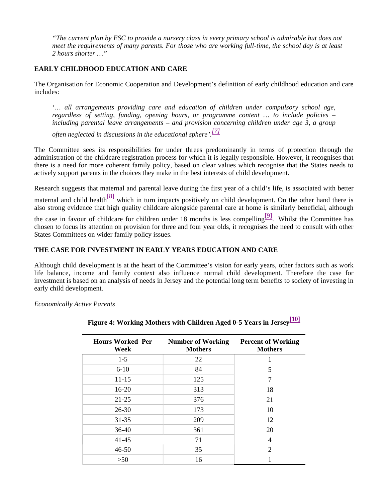*"The current plan by ESC to provide a nursery class in every primary school is admirable but does not meet the requirements of many parents. For those who are working full-time, the school day is at least 2 hours shorter …"*

# **EARLY CHILDHOOD EDUCATION AND CARE**

The Organisation for Economic Cooperation and Development's definition of early childhood education and care includes:

*'… all arrangements providing care and education of children under compulsory school age, regardless of setting, funding, opening hours, or programme content … to include policies – including parental leave arrangements – and provision concerning children under age 3, a group*

*often neglected in discussions in the educational sphere'. [7]*

The Committee sees its responsibilities for under threes predominantly in terms of protection through the administration of the childcare registration process for which it is legally responsible. However, it recognises that there is a need for more coherent family policy, based on clear values which recognise that the States needs to actively support parents in the choices they make in the best interests of child development.

Research suggests that maternal and parental leave during the first year of a child's life, is associated with better

maternal and child health $\frac{8}{8}$  which in turn impacts positively on child development. On the other hand there is also strong evidence that high quality childcare alongside parental care at home is similarly beneficial, although

the case in favour of childcare for children under 18 months is less compelling  $[9]$ . Whilst the Committee has chosen to focus its attention on provision for three and four year olds, it recognises the need to consult with other States Committees on wider family policy issues.

### **THE CASE FOR INVESTMENT IN EARLY YEARS EDUCATION AND CARE**

Although child development is at the heart of the Committee's vision for early years, other factors such as work life balance, income and family context also influence normal child development. Therefore the case for investment is based on an analysis of needs in Jersey and the potential long term benefits to society of investing in early child development.

*Economically Active Parents*

| <b>Hours Worked Per</b><br>Week | <b>Number of Working</b><br><b>Mothers</b> | <b>Percent of Working</b><br><b>Mothers</b> |  |
|---------------------------------|--------------------------------------------|---------------------------------------------|--|
| $1-5$                           | 22                                         |                                             |  |
| $6-10$                          | 84                                         | 5                                           |  |
| $11 - 15$                       | 125                                        | 7                                           |  |
| $16 - 20$                       | 313                                        | 18                                          |  |
| $21 - 25$                       | 376                                        | 21                                          |  |
| $26 - 30$                       | 173                                        | 10                                          |  |
| $31 - 35$                       | 209                                        | 12                                          |  |
| $36-40$                         | 361                                        | 20                                          |  |
| $41 - 45$                       | 71                                         | 4                                           |  |
| $46 - 50$                       | 35                                         | $\overline{2}$                              |  |
| >50                             | 16                                         |                                             |  |

**Figure 4: Working Mothers with Children Aged 0-5 Years in Jersey[10]**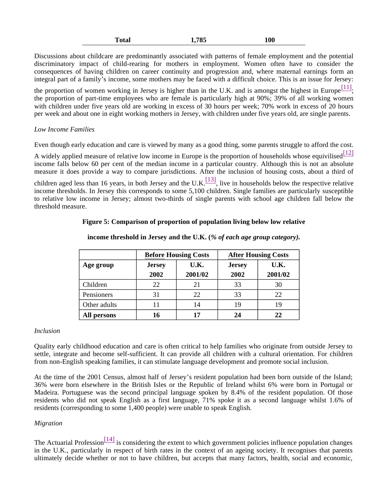| Total | 1,785 | 100 |
|-------|-------|-----|
|-------|-------|-----|

Discussions about childcare are predominantly associated with patterns of female employment and the potential discriminatory impact of child-rearing for mothers in employment. Women often have to consider the consequences of having children on career continuity and progression and, where maternal earnings form an integral part of a family's income, some mothers may be faced with a difficult choice. This is an issue for Jersey:

the proportion of women working in Jersey is higher than in the U.K. and is amongst the highest in Europe $\frac{[11]}{[11]}$ ; the proportion of part-time employees who are female is particularly high at 90%; 39% of all working women with children under five years old are working in excess of 30 hours per week; 70% work in excess of 20 hours per week and about one in eight working mothers in Jersey, with children under five years old, are single parents.

# *Low Income Families*

Even though early education and care is viewed by many as a good thing, some parents struggle to afford the cost.

A widely applied measure of relative low income in Europe is the proportion of households whose equivilised  $\frac{[12]}{[12]}$ income falls below 60 per cent of the median income in a particular country. Although this is not an absolute measure it does provide a way to compare jurisdictions. After the inclusion of housing costs, about a third of

children aged less than 16 years, in both Jersey and the U.K.  $\frac{[13]}{[13]}$ , live in households below the respective relative income thresholds. In Jersey this corresponds to some 5,100 children. Single families are particularly susceptible to relative low income in Jersey; almost two-thirds of single parents with school age children fall below the threshold measure.

# **Figure 5: Comparison of proportion of population living below low relative**

|              |                       | <b>Before Housing Costs</b> | <b>After Housing Costs</b> |                 |  |
|--------------|-----------------------|-----------------------------|----------------------------|-----------------|--|
| Age group    | <b>Jersey</b><br>2002 | U.K.<br>2001/02             | <b>Jersey</b><br>2002      | U.K.<br>2001/02 |  |
|              |                       |                             |                            |                 |  |
| Children     | 22                    | 21                          | 33                         | 30              |  |
| Pensioners   | 31                    | 22                          | 33                         | 22              |  |
| Other adults | 11                    | 14                          | 19                         | 19              |  |
| All persons  | 16                    | 17                          | 24                         | 22              |  |

# **income threshold in Jersey and the U.K. (***% of each age group category).*

# *Inclusion*

Quality early childhood education and care is often critical to help families who originate from outside Jersey to settle, integrate and become self-sufficient. It can provide all children with a cultural orientation. For children from non-English speaking families, it can stimulate language development and promote social inclusion.

At the time of the 2001 Census, almost half of Jersey's resident population had been born outside of the Island; 36% were born elsewhere in the British Isles or the Republic of Ireland whilst 6% were born in Portugal or Madeira. Portuguese was the second principal language spoken by 8.4% of the resident population. Of those residents who did not speak English as a first language, 71% spoke it as a second language whilst 1.6% of residents (corresponding to some 1,400 people) were unable to speak English.

# *Migration*

The Actuarial Profession $\frac{[14]}{]}$  is considering the extent to which government policies influence population changes in the U.K., particularly in respect of birth rates in the context of an ageing society. It recognises that parents ultimately decide whether or not to have children, but accepts that many factors, health, social and economic,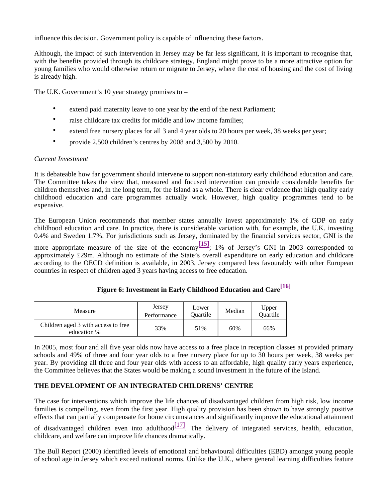influence this decision. Government policy is capable of influencing these factors.

Although, the impact of such intervention in Jersey may be far less significant, it is important to recognise that, with the benefits provided through its childcare strategy, England might prove to be a more attractive option for young families who would otherwise return or migrate to Jersey, where the cost of housing and the cost of living is already high.

The U.K. Government's 10 year strategy promises to –

- extend paid maternity leave to one year by the end of the next Parliament;
- raise childcare tax credits for middle and low income families:
- extend free nursery places for all 3 and 4 year olds to 20 hours per week, 38 weeks per year;
- provide 2,500 children's centres by 2008 and 3,500 by 2010.

# *Current Investment*

It is debateable how far government should intervene to support non-statutory early childhood education and care. The Committee takes the view that, measured and focused intervention can provide considerable benefits for children themselves and, in the long term, for the Island as a whole. There is clear evidence that high quality early childhood education and care programmes actually work. However, high quality programmes tend to be expensive.

The European Union recommends that member states annually invest approximately 1% of GDP on early childhood education and care. In practice, there is considerable variation with, for example, the U.K. investing 0.4% and Sweden 1.7%. For jurisdictions such as Jersey, dominated by the financial services sector, GNI is the

more appropriate measure of the size of the economy  $\frac{15}{15}$ ; 1% of Jersey's GNI in 2003 corresponded to approximately £29m. Although no estimate of the State's overall expenditure on early education and childcare according to the OECD definition is available, in 2003, Jersey compared less favourably with other European countries in respect of children aged 3 years having access to free education.

| Figure 6: Investment in Early Childhood Education and Care <sup>[16]</sup> |  |
|----------------------------------------------------------------------------|--|
|                                                                            |  |
|                                                                            |  |

| Measure                                            | Jersey<br>Performance | Lower<br>Ouartile | Median | Upper<br>Quartile |
|----------------------------------------------------|-----------------------|-------------------|--------|-------------------|
| Children aged 3 with access to free<br>education % | 33%                   | 51%               | 60%    | 66%               |

In 2005, most four and all five year olds now have access to a free place in reception classes at provided primary schools and 49% of three and four year olds to a free nursery place for up to 30 hours per week, 38 weeks per year. By providing all three and four year olds with access to an affordable, high quality early years experience, the Committee believes that the States would be making a sound investment in the future of the Island.

# **THE DEVELOPMENT OF AN INTEGRATED CHILDRENS' CENTRE**

The case for interventions which improve the life chances of disadvantaged children from high risk, low income families is compelling, even from the first year. High quality provision has been shown to have strongly positive effects that can partially compensate for home circumstances and significantly improve the educational attainment

of disadvantaged children even into adulthood $\frac{[17]}{[17]}$ . The delivery of integrated services, health, education, childcare, and welfare can improve life chances dramatically.

The Bull Report (2000) identified levels of emotional and behavioural difficulties (EBD) amongst young people of school age in Jersey which exceed national norms. Unlike the U.K., where general learning difficulties feature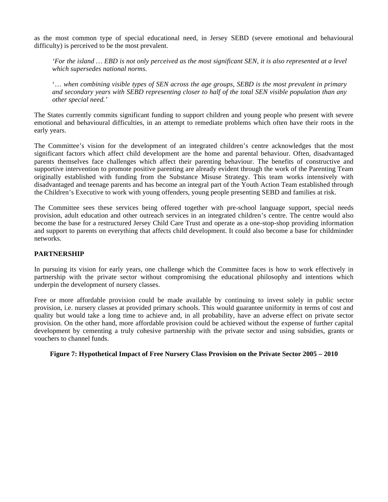as the most common type of special educational need, in Jersey SEBD (severe emotional and behavioural difficulty) is perceived to be the most prevalent.

*'For the island … EBD is not only perceived as the most significant SEN, it is also represented at a level which supersedes national norms.*

'… *when combining visible types of SEN across the age groups, SEBD is the most prevalent in primary and secondary years with SEBD representing closer to half of the total SEN visible population than any other special need.'*

The States currently commits significant funding to support children and young people who present with severe emotional and behavioural difficulties, in an attempt to remediate problems which often have their roots in the early years.

The Committee's vision for the development of an integrated children's centre acknowledges that the most significant factors which affect child development are the home and parental behaviour. Often, disadvantaged parents themselves face challenges which affect their parenting behaviour. The benefits of constructive and supportive intervention to promote positive parenting are already evident through the work of the Parenting Team originally established with funding from the Substance Misuse Strategy. This team works intensively with disadvantaged and teenage parents and has become an integral part of the Youth Action Team established through the Children's Executive to work with young offenders, young people presenting SEBD and families at risk.

The Committee sees these services being offered together with pre-school language support, special needs provision, adult education and other outreach services in an integrated children's centre. The centre would also become the base for a restructured Jersey Child Care Trust and operate as a one-stop-shop providing information and support to parents on everything that affects child development. It could also become a base for childminder networks.

#### **PARTNERSHIP**

In pursuing its vision for early years, one challenge which the Committee faces is how to work effectively in partnership with the private sector without compromising the educational philosophy and intentions which underpin the development of nursery classes.

Free or more affordable provision could be made available by continuing to invest solely in public sector provision, i.e. nursery classes at provided primary schools. This would guarantee uniformity in terms of cost and quality but would take a long time to achieve and, in all probability, have an adverse effect on private sector provision. On the other hand, more affordable provision could be achieved without the expense of further capital development by cementing a truly cohesive partnership with the private sector and using subsidies, grants or vouchers to channel funds.

#### **Figure 7: Hypothetical Impact of Free Nursery Class Provision on the Private Sector 2005 – 2010**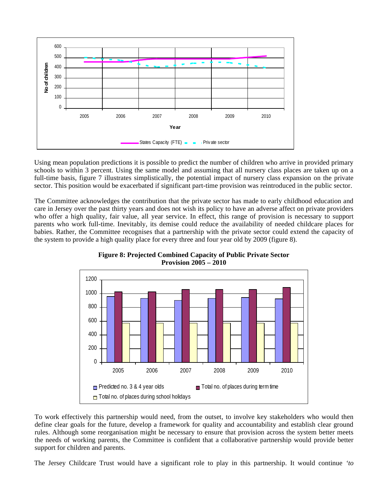

Using mean population predictions it is possible to predict the number of children who arrive in provided primary schools to within 3 percent. Using the same model and assuming that all nursery class places are taken up on a full-time basis, figure 7 illustrates simplistically, the potential impact of nursery class expansion on the private sector. This position would be exacerbated if significant part-time provision was reintroduced in the public sector.

The Committee acknowledges the contribution that the private sector has made to early childhood education and care in Jersey over the past thirty years and does not wish its policy to have an adverse affect on private providers who offer a high quality, fair value, all year service. In effect, this range of provision is necessary to support parents who work full-time. Inevitably, its demise could reduce the availability of needed childcare places for babies. Rather, the Committee recognises that a partnership with the private sector could extend the capacity of the system to provide a high quality place for every three and four year old by 2009 (figure 8).



**Figure 8: Projected Combined Capacity of Public Private Sector Provision 2005 – 2010**

To work effectively this partnership would need, from the outset, to involve key stakeholders who would then define clear goals for the future, develop a framework for quality and accountability and establish clear ground rules. Although some reorganisation might be necessary to ensure that provision across the system better meets the needs of working parents, the Committee is confident that a collaborative partnership would provide better support for children and parents.

The Jersey Childcare Trust would have a significant role to play in this partnership. It would continue *'to*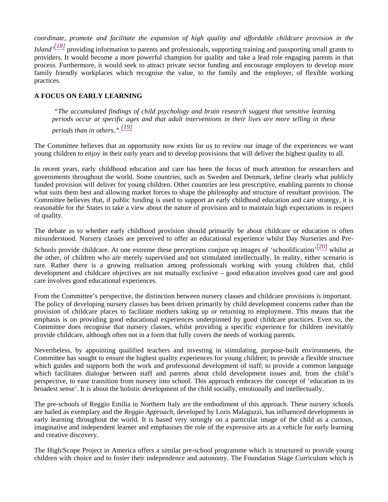*coordinate, promote and facilitate the expansion of high quality and affordable childcare provision in the Island' [18]* providing information to parents and professionals, supporting training and passporting small grants to providers. It would become a more powerful champion for quality and take a lead role engaging parents in that process. Furthermore, it would seek to attract private sector funding and encourage employers to develop more family friendly workplaces which recognise the value, to the family and the employer, of flexible working practices.

# **A FOCUS ON EARLY LEARNING**

*"The accumulated findings of child psychology and brain research suggest that sensitive learning periods occur at specific ages and that adult interventions in their lives are more telling in these periods than in others.". [19]*

The Committee believes that an opportunity now exists for us to review our image of the experiences we want young children to enjoy in their early years and to develop provisions that will deliver the highest quality to all.

In recent years, early childhood education and care has been the focus of much attention for researchers and governments throughout the world. Some countries, such as Sweden and Denmark, define clearly what publicly funded provision will deliver for young children. Other countries are less prescriptive, enabling parents to choose what suits them best and allowing market forces to shape the philosophy and structure of resultant provision. The Committee believes that, if public funding is used to support an early childhood education and care strategy, it is reasonable for the States to take a view about the nature of provision and to maintain high expectations in respect of quality.

The debate as to whether early childhood provision should primarily be about childcare or education is often misunderstood. Nursery classes are perceived to offer an educational experience whilst Day Nurseries and Pre-

Schools provide childcare. At one extreme these perceptions conjure up images of 'schoolification'  $\frac{[20]}{]}$  whilst at the other, of children who are merely supervised and not stimulated intellectually. In reality, either scenario is rare. Rather there is a growing realisation among professionals working with young children that, child development and childcare objectives are not mutually exclusive – good education involves good care and good care involves good educational experiences.

From the Committee's perspective, the distinction between nursery classes and childcare provisions is important. The policy of developing nursery classes has been driven primarily by child development concerns rather than the provision of childcare places to facilitate mothers taking up or returning to employment. This means that the emphasis is on providing good educational experiences underpinned by good childcare practices. Even so, the Committee does recognise that nursery classes, whilst providing a specific experience for children inevitably provide childcare, although often not in a form that fully covers the needs of working parents.

Nevertheless, by appointing qualified teachers and investing in stimulating, purpose-built environments, the Committee has sought to ensure the highest quality experiences for young children; to provide a flexible structure which guides and supports both the work and professional development of staff; to provide a common language which facilitates dialogue between staff and parents about child development issues and, from the child's perspective, to ease transition from nursery into school. This approach embraces the concept of 'education in its broadest sense'. It is about the holistic development of the child socially, emotionally and intellectually.

The pre-schools of Reggio Emilia in Northern Italy are the embodiment of this approach. These nursery schools are hailed as exemplary and the *Reggio Approach,* developed by Loris Malaguzzi, has influenced developments in early learning throughout the world. It is based very strongly on a particular image of the child as a curious, imaginative and independent learner and emphasises the role of the expressive arts as a vehicle for early learning and creative discovery.

The High/Scope Project in America offers a similar pre-school programme which is structured to provide young children with choice and to foster their independence and autonomy. The Foundation Stage Curriculum which is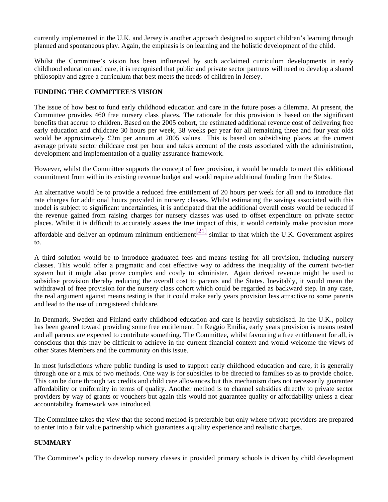currently implemented in the U.K. and Jersey is another approach designed to support children's learning through planned and spontaneous play. Again, the emphasis is on learning and the holistic development of the child.

Whilst the Committee's vision has been influenced by such acclaimed curriculum developments in early childhood education and care, it is recognised that public and private sector partners will need to develop a shared philosophy and agree a curriculum that best meets the needs of children in Jersey.

### **FUNDING THE COMMITTEE'S VISION**

The issue of how best to fund early childhood education and care in the future poses a dilemma. At present, the Committee provides 460 free nursery class places. The rationale for this provision is based on the significant benefits that accrue to children. Based on the 2005 cohort, the estimated additional revenue cost of delivering free early education and childcare 30 hours per week, 38 weeks per year for all remaining three and four year olds would be approximately £2m per annum at 2005 values. This is based on subsidising places at the current average private sector childcare cost per hour and takes account of the costs associated with the administration, development and implementation of a quality assurance framework.

However, whilst the Committee supports the concept of free provision, it would be unable to meet this additional commitment from within its existing revenue budget and would require additional funding from the States.

An alternative would be to provide a reduced free entitlement of 20 hours per week for all and to introduce flat rate charges for additional hours provided in nursery classes. Whilst estimating the savings associated with this model is subject to significant uncertainties, it is anticipated that the additional overall costs would be reduced if the revenue gained from raising charges for nursery classes was used to offset expenditure on private sector places. Whilst it is difficult to accurately assess the true impact of this, it would certainly make provision more

affordable and deliver an optimum minimum entitlement  $\frac{[21]}{[21]}$  similar to that which the U.K. Government aspires to.

A third solution would be to introduce graduated fees and means testing for all provision, including nursery classes. This would offer a pragmatic and cost effective way to address the inequality of the current two-tier system but it might also prove complex and costly to administer. Again derived revenue might be used to subsidise provision thereby reducing the overall cost to parents and the States. Inevitably, it would mean the withdrawal of free provision for the nursery class cohort which could be regarded as backward step. In any case, the real argument against means testing is that it could make early years provision less attractive to some parents and lead to the use of unregistered childcare.

In Denmark, Sweden and Finland early childhood education and care is heavily subsidised. In the U.K., policy has been geared toward providing some free entitlement. In Reggio Emilia, early years provision is means tested and all parents are expected to contribute something. The Committee, whilst favouring a free entitlement for all, is conscious that this may be difficult to achieve in the current financial context and would welcome the views of other States Members and the community on this issue.

In most jurisdictions where public funding is used to support early childhood education and care, it is generally through one or a mix of two methods. One way is for subsidies to be directed to families so as to provide choice. This can be done through tax credits and child care allowances but this mechanism does not necessarily guarantee affordability or uniformity in terms of quality. Another method is to channel subsidies directly to private sector providers by way of grants or vouchers but again this would not guarantee quality or affordability unless a clear accountability framework was introduced.

The Committee takes the view that the second method is preferable but only where private providers are prepared to enter into a fair value partnership which guarantees a quality experience and realistic charges.

# **SUMMARY**

The Committee's policy to develop nursery classes in provided primary schools is driven by child development